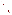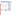# **Soboba Band of Mission Indians**



Reservation Boundaries

For a copy of the Soboba Band of Mission Indians 1994 305(b) report, contact:

#### **Jamie S. Megee**

Soboba Band of Mission Indians P.O. Box 487 San Jacinto, CA 92581 (909) 654-2765

### **Surface Water Quality**

The Soboba Reservation encompasses about 9.2 square miles in southern California about 80 miles east of Los Angeles. The San Jacinto River is the major surface water feature on the Reservation. At one time, the San Jacinto River flowed year-round, but upstream diversions and ground

water withdrawals outside of the Reservation have reduced the flow to intermittent status for many years.

The chemical quality of surface water on the Soboba Reservation is excellent and remains unimpaired to date, based on very limited data. The quality of surface water, to the extent it is available, fully supports the existing uses of ground water recharge, wildlife habitat, and recreation. Overall, the greatest threat to water quality on the Soboba Reservation is the reduction of surface flows and ground water storage by off-Reservation diversions and pumping.

### **Ground Water Quality**

Three major water supply wells extract water from two aquifers on the Soboba Reservation. Ground water overdraft outside the Reservation has seriously reduced the withdrawal capacity of the Reservation's wells and aquifers. The chemical quality of ground water on the Soboba Reservation is excellent and remains unimpaired to date. The single most critical threat to water quality is a proposal by the Eastern Municipal Water District to routinely recharge treated effluent at a site within 600 feet of an existing Soboba well.